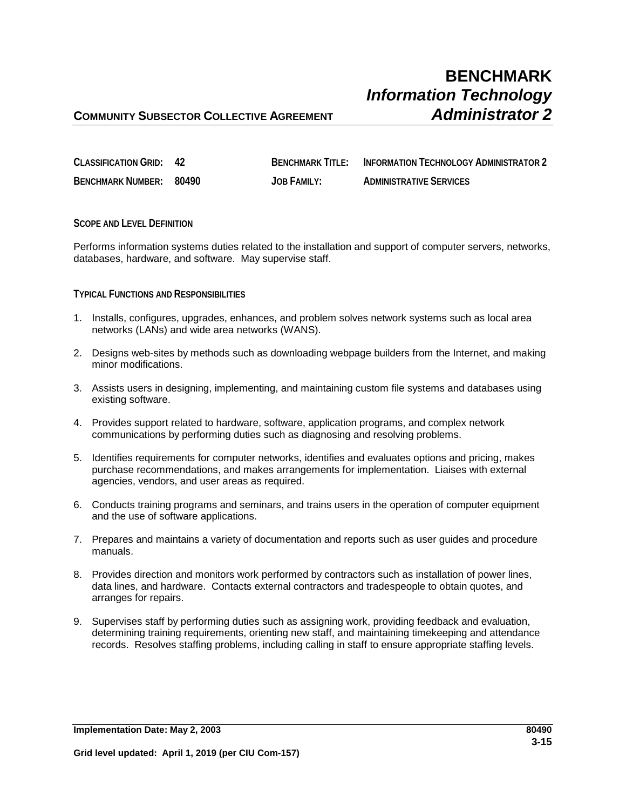| <b>CLASSIFICATION GRID: 42</b> | <b>BENCHMARK TITI F:</b> | INFORMATION TECHNOLOGY ADMINISTRATOR 2 |
|--------------------------------|--------------------------|----------------------------------------|
| BENCHMARK NUMBER: 80490        | JOB FAMILY:              | <b>ADMINISTRATIVE SERVICES</b>         |

**SCOPE AND LEVEL DEFINITION**

Performs information systems duties related to the installation and support of computer servers, networks, databases, hardware, and software. May supervise staff.

## **TYPICAL FUNCTIONS AND RESPONSIBILITIES**

- 1. Installs, configures, upgrades, enhances, and problem solves network systems such as local area networks (LANs) and wide area networks (WANS).
- 2. Designs web-sites by methods such as downloading webpage builders from the Internet, and making minor modifications.
- 3. Assists users in designing, implementing, and maintaining custom file systems and databases using existing software.
- 4. Provides support related to hardware, software, application programs, and complex network communications by performing duties such as diagnosing and resolving problems.
- 5. Identifies requirements for computer networks, identifies and evaluates options and pricing, makes purchase recommendations, and makes arrangements for implementation. Liaises with external agencies, vendors, and user areas as required.
- 6. Conducts training programs and seminars, and trains users in the operation of computer equipment and the use of software applications.
- 7. Prepares and maintains a variety of documentation and reports such as user guides and procedure manuals.
- 8. Provides direction and monitors work performed by contractors such as installation of power lines, data lines, and hardware. Contacts external contractors and tradespeople to obtain quotes, and arranges for repairs.
- 9. Supervises staff by performing duties such as assigning work, providing feedback and evaluation, determining training requirements, orienting new staff, and maintaining timekeeping and attendance records. Resolves staffing problems, including calling in staff to ensure appropriate staffing levels.